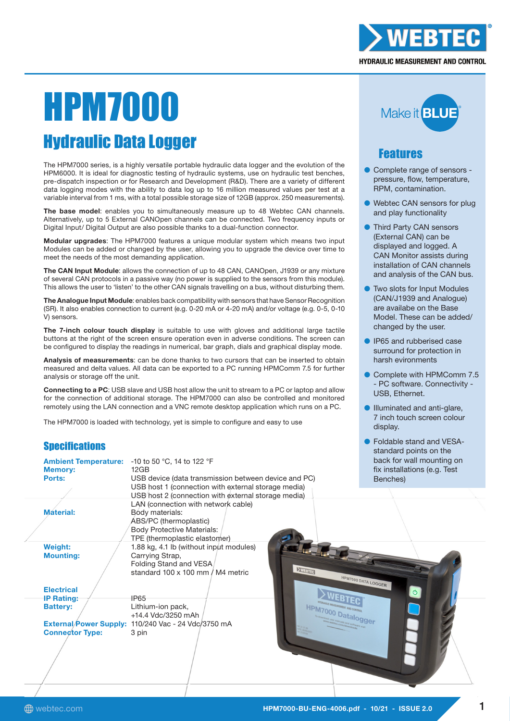

#### **HYDRAULIC MEASUREMENT AND CONTROL**

# HPM7000 Hydraulic Data Logger

The HPM7000 series, is a highly versatile portable hydraulic data logger and the evolution of the HPM6000. It is ideal for diagnostic testing of hydraulic systems, use on hydraulic test benches, pre-dispatch inspection or for Research and Development (R&D). There are a variety of different data logging modes with the ability to data log up to 16 million measured values per test at a variable interval from 1 ms, with a total possible storage size of 12GB (approx. 250 measurements).

The base model: enables you to simultaneously measure up to 48 Webtec CAN channels. Alternatively, up to 5 External CANOpen channels can be connected. Two frequency inputs or Digital Input/ Digital Output are also possible thanks to a dual-function connector.

Modular upgrades: The HPM7000 features a unique modular system which means two input Modules can be added or changed by the user, allowing you to upgrade the device over time to meet the needs of the most demanding application.

The CAN Input Module: allows the connection of up to 48 CAN, CANOpen, J1939 or any mixture of several CAN protocols in a passive way (no power is supplied to the sensors from this module). This allows the user to 'listen' to the other CAN signals travelling on a bus, without disturbing them.

The Analogue Input Module: enables back compatibility with sensors that have Sensor Recognition (SR). It also enables connection to current (e.g. 0-20 mA or 4-20 mA) and/or voltage (e.g. 0-5, 0-10 V) sensors.

The 7-inch colour touch display is suitable to use with gloves and additional large tactile buttons at the right of the screen ensure operation even in adverse conditions. The screen can be configured to display the readings in numerical, bar graph, dials and graphical display mode.

Analysis of measurements: can be done thanks to two cursors that can be inserted to obtain measured and delta values. All data can be exported to a PC running HPMComm 7.5 for further analysis or storage off the unit.

Connecting to a PC: USB slave and USB host allow the unit to stream to a PC or laptop and allow for the connection of additional storage. The HPM7000 can also be controlled and monitored remotely using the LAN connection and a VNC remote desktop application which runs on a PC.

The HPM7000 is loaded with technology, yet is simple to configure and easy to use

# **Specifications**

| <b>Ambient Temperature:</b><br><b>Memory:</b><br>Ports: | -10 to 50 °C, 14 to 122 °F<br>12GB<br>USB device (data transmission between device and PC)<br>USB host 1 (connection with external storage media)<br>USB host 2 (connection with external storage media) |
|---------------------------------------------------------|----------------------------------------------------------------------------------------------------------------------------------------------------------------------------------------------------------|
| <b>Material:</b>                                        | LAN (connection with network cable)<br>Body materials:<br>ABS/PC (thermoplastic)<br><b>Body Protective Materials:</b><br>TPE (thermoplastic elastomer)                                                   |
| <b>Weight:</b>                                          | 1.88 kg, 4.1 lb (without input modules)                                                                                                                                                                  |
| <b>Mounting:</b>                                        | Carrying Strap,<br>Folding Stand and VESA<br><b>XVEBTEC</b><br>standard 100 x 100 mm / M4 metric<br>HPM70                                                                                                |
| <b>Electrical</b><br><b>IP Rating:</b>                  | <b>IP65</b>                                                                                                                                                                                              |
| <b>Battery:</b>                                         | Lithium-ion pack,                                                                                                                                                                                        |
|                                                         | +14.4 Vdc/3250 mAh                                                                                                                                                                                       |
|                                                         | External/Power Supply: 110/240 Vac - 24 Vdc/3750 mA                                                                                                                                                      |
| <b>Connector Type:</b>                                  | 3 pin                                                                                                                                                                                                    |
|                                                         |                                                                                                                                                                                                          |



# Features

- Complete range of sensors pressure, flow, temperature, RPM, contamination.
- **Webtec CAN sensors for plug** and play functionality
- Third Party CAN sensors (External CAN) can be displayed and logged. A CAN Monitor assists during installation of CAN channels and analysis of the CAN bus.
- Two slots for Input Modules (CAN/J1939 and Analogue) are availabe on the Base Model. These can be added/ changed by the user.
- IP65 and rubberised case surround for protection in harsh evironments
- Complete with HPMComm 7.5 - PC software. Connectivity - USB, Ethernet.
- Illuminated and anti-glare, 7 inch touch screen colour display.
- Foldable stand and VESAstandard points on the back for wall mounting on fix installations (e.g. Test Benches)

ogger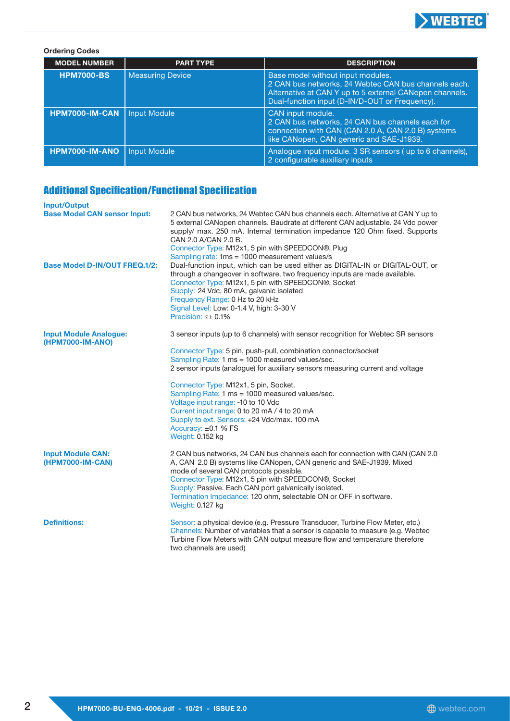

#### Ordering Codes MODEL NUMBER | PART TYPE | PART TYPE DESCRIPTION HPM7000-BS | Measuring Device | Base model without input modules. 2 CAN bus networks, 24 Webtec CAN bus channels each. Alternative at CAN Y up to 5 external CANopen channels. Dual-function input (D-IN/D-OUT or Frequency). HPM7000-IM-CAN | Input Module CAN CAN input module. 2 CAN bus networks, 24 CAN bus channels each for connection with CAN (CAN 2.0 A, CAN 2.0 B) systems like CANopen, CAN generic and SAE-J1939. **HPM7000-IM-ANO** Input Module  $\vert$  Analogue input module. 3 SR sensors ( up to 6 channels), 2 configurable auxiliary inputs

### Additional Specification/Functional Specification

| <b>Input/Output</b>                               |                                                                                                                                                                                                                                                                                                                                                                                                            |
|---------------------------------------------------|------------------------------------------------------------------------------------------------------------------------------------------------------------------------------------------------------------------------------------------------------------------------------------------------------------------------------------------------------------------------------------------------------------|
| <b>Base Model CAN sensor Input:</b>               | 2 CAN bus networks, 24 Webtec CAN bus channels each. Alternative at CAN Y up to<br>5 external CANopen channels. Baudrate at different CAN adjustable. 24 Vdc power<br>supply/ max. 250 mA. Internal termination impedance 120 Ohm fixed. Supports<br>CAN 2.0 A/CAN 2.0 B.<br>Connector Type: M12x1, 5 pin with SPEEDCON®, Plug<br>Sampling rate: 1ms = 1000 measurement values/s                           |
| <b>Base Model D-IN/OUT FREQ.1/2:</b>              | Dual-function input, which can be used either as DIGITAL-IN or DIGITAL-OUT, or<br>through a changeover in software, two frequency inputs are made available.<br>Connector Type: M12x1, 5 pin with SPEEDCON®, Socket<br>Supply: 24 Vdc, 80 mA, galvanic isolated<br>Frequency Range: 0 Hz to 20 kHz<br>Signal Level: Low: 0-1.4 V, high: 3-30 V<br>Precision: $\leq \pm 0.1\%$                              |
| <b>Input Module Analogue:</b><br>(HPM7000-IM-ANO) | 3 sensor inputs (up to 6 channels) with sensor recognition for Webtec SR sensors                                                                                                                                                                                                                                                                                                                           |
|                                                   | Connector Type: 5 pin, push-pull, combination connector/socket<br>Sampling Rate: 1 ms = 1000 measured values/sec.<br>2 sensor inputs (analogue) for auxiliary sensors measuring current and voltage                                                                                                                                                                                                        |
|                                                   | Connector Type: M12x1, 5 pin, Socket.<br>Sampling Rate: 1 ms = 1000 measured values/sec.<br>Voltage input range: -10 to 10 Vdc<br>Current input range: 0 to 20 mA / 4 to 20 mA<br>Supply to ext. Sensors: +24 Vdc/max. 100 mA<br>Accuracy: $\pm 0.1$ % FS<br>Weight: 0.152 kg                                                                                                                              |
| <b>Input Module CAN:</b><br>(HPM7000-IM-CAN)      | 2 CAN bus networks, 24 CAN bus channels each for connection with CAN (CAN 2.0)<br>A, CAN 2.0 B) systems like CANopen, CAN generic and SAE-J1939. Mixed<br>mode of several CAN protocols possible.<br>Connector Type: M12x1, 5 pin with SPEEDCON®, Socket<br>Supply: Passive. Each CAN port galvanically isolated.<br>Termination Impedance: 120 ohm, selectable ON or OFF in software.<br>Weight: 0.127 kg |
| <b>Definitions:</b>                               | Sensor: a physical device (e.g. Pressure Transducer, Turbine Flow Meter, etc.)<br>Channels: Number of variables that a sensor is capable to measure (e.g. Webtec<br>Turbine Flow Meters with CAN output measure flow and temperature therefore<br>two channels are used)                                                                                                                                   |